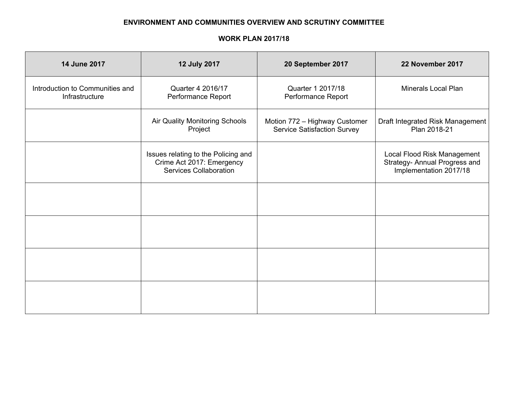## **ENVIRONMENT AND COMMUNITIES OVERVIEW AND SCRUTINY COMMITTEE**

## **WORK PLAN 2017/18**

| 14 June 2017                                      | 12 July 2017                                                                                      | 20 September 2017                                                   | 22 November 2017                                                                       |
|---------------------------------------------------|---------------------------------------------------------------------------------------------------|---------------------------------------------------------------------|----------------------------------------------------------------------------------------|
| Introduction to Communities and<br>Infrastructure | Quarter 4 2016/17<br>Performance Report                                                           |                                                                     | <b>Minerals Local Plan</b>                                                             |
|                                                   | Air Quality Monitoring Schools<br>Project                                                         | Motion 772 - Highway Customer<br><b>Service Satisfaction Survey</b> | Draft Integrated Risk Management<br>Plan 2018-21                                       |
|                                                   | Issues relating to the Policing and<br>Crime Act 2017: Emergency<br><b>Services Collaboration</b> |                                                                     | Local Flood Risk Management<br>Strategy- Annual Progress and<br>Implementation 2017/18 |
|                                                   |                                                                                                   |                                                                     |                                                                                        |
|                                                   |                                                                                                   |                                                                     |                                                                                        |
|                                                   |                                                                                                   |                                                                     |                                                                                        |
|                                                   |                                                                                                   |                                                                     |                                                                                        |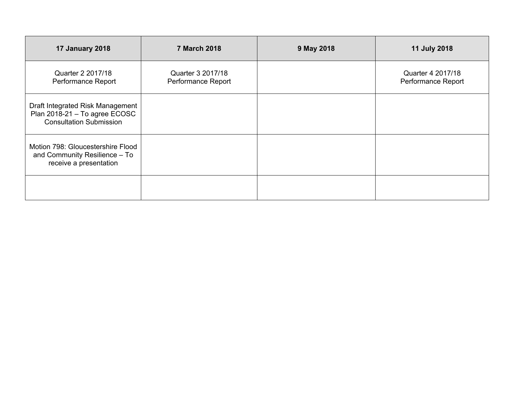| <b>17 January 2018</b>                                                                              | <b>7 March 2018</b>                     | 9 May 2018 | 11 July 2018                            |
|-----------------------------------------------------------------------------------------------------|-----------------------------------------|------------|-----------------------------------------|
| Quarter 2 2017/18<br>Performance Report                                                             | Quarter 3 2017/18<br>Performance Report |            | Quarter 4 2017/18<br>Performance Report |
| Draft Integrated Risk Management<br>Plan 2018-21 - To agree ECOSC<br><b>Consultation Submission</b> |                                         |            |                                         |
| Motion 798: Gloucestershire Flood<br>and Community Resilience - To<br>receive a presentation        |                                         |            |                                         |
|                                                                                                     |                                         |            |                                         |